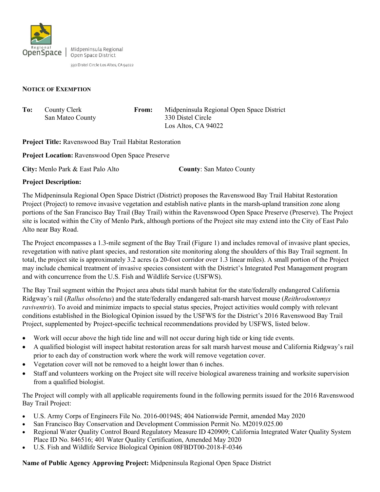

Midpeninsula Regional Open Space District

330 Distel Circle Los Altos, CA 94022

## **NOTICE OF EXEMPTION**

| To: | County Clerk     | From: | Midpeninsula Regional Open Space District |
|-----|------------------|-------|-------------------------------------------|
|     | San Mateo County |       | 330 Distel Circle                         |
|     |                  |       | Los Altos, CA 94022                       |

**Project Title:** Ravenswood Bay Trail Habitat Restoration

**Project Location:** Ravenswood Open Space Preserve

**City:** Menlo Park & East Palo Alto **County**: San Mateo County

## **Project Description:**

The Midpeninsula Regional Open Space District (District) proposes the Ravenswood Bay Trail Habitat Restoration Project (Project) to remove invasive vegetation and establish native plants in the marsh-upland transition zone along portions of the San Francisco Bay Trail (Bay Trail) within the Ravenswood Open Space Preserve (Preserve). The Project site is located within the City of Menlo Park, although portions of the Project site may extend into the City of East Palo Alto near Bay Road.

The Project encompasses a 1.3-mile segment of the Bay Trail (Figure 1) and includes removal of invasive plant species, revegetation with native plant species, and restoration site monitoring along the shoulders of this Bay Trail segment. In total, the project site is approximately 3.2 acres (a 20-foot corridor over 1.3 linear miles). A small portion of the Project may include chemical treatment of invasive species consistent with the District's Integrated Pest Management program and with concurrence from the U.S. Fish and Wildlife Service (USFWS).

The Bay Trail segment within the Project area abuts tidal marsh habitat for the state/federally endangered California Ridgway's rail (*Rallus obsoletus*) and the state/federally endangered salt-marsh harvest mouse (*Reithrodontomys raviventris*). To avoid and minimize impacts to special status species, Project activities would comply with relevant conditions established in the Biological Opinion issued by the USFWS for the District's 2016 Ravenswood Bay Trail Project, supplemented by Project-specific technical recommendations provided by USFWS, listed below.

- Work will occur above the high tide line and will not occur during high tide or king tide events.
- A qualified biologist will inspect habitat restoration areas for salt marsh harvest mouse and California Ridgway's rail prior to each day of construction work where the work will remove vegetation cover.
- Vegetation cover will not be removed to a height lower than 6 inches.
- Staff and volunteers working on the Project site will receive biological awareness training and worksite supervision from a qualified biologist.

The Project will comply with all applicable requirements found in the following permits issued for the 2016 Ravenswood Bay Trail Project:

- U.S. Army Corps of Engineers File No. 2016-00194S; 404 Nationwide Permit, amended May 2020
- San Francisco Bay Conservation and Development Commission Permit No. M2019.025.00
- Regional Water Quality Control Board Regulatory Measure ID 420909; California Integrated Water Quality System Place ID No. 846516; 401 Water Quality Certification, Amended May 2020
- U.S. Fish and Wildlife Service Biological Opinion 08FBDT00-2018-F-0346

**Name of Public Agency Approving Project:** Midpeninsula Regional Open Space District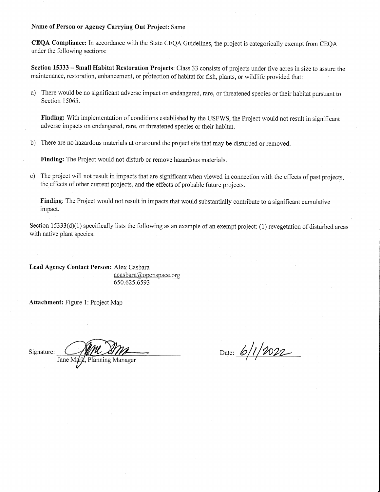## Name of Person or Agency Carrying Out Project: Same

CEQA Compliance: In accordance with the State CEQA Guidelines, the project is categorically exempt from CEQA under the following sections:

Section 15333 - Small Habitat Restoration Projects: Class 33 consists of projects under five acres in size to assure the maintenance, restoration, enhancement, or protection of habitat for fish, plants, or wildlife provided that:

a) There would be no significant adverse impact on endangered, rare, or threatened species or their habitat pursuant to Section 15065.

Finding: With implementation of conditions established by the USFWS, the Project would not result in significant adverse impacts on endangered, rare, or threatened species or their habitat.

b) There are no hazardous materials at or around the project site that may be disturbed or removed.

Finding: The Project would not disturb or remove hazardous materials.

The project will not result in impacts that are significant when viewed in connection with the effects of past projects,  $c$ ) the effects of other current projects, and the effects of probable future projects.

Finding: The Project would not result in impacts that would substantially contribute to a significant cumulative impact.

Section 15333(d)(1) specifically lists the following as an example of an exempt project: (1) revegetation of disturbed areas with native plant species.

Lead Agency Contact Person: Alex Casbara  $acabara@openspace.org$ 650.625.6593

Attachment: Figure 1: Project Map

Signature:

Jane <sub>N</sub> Planning Manager

Date: 6/1/2022